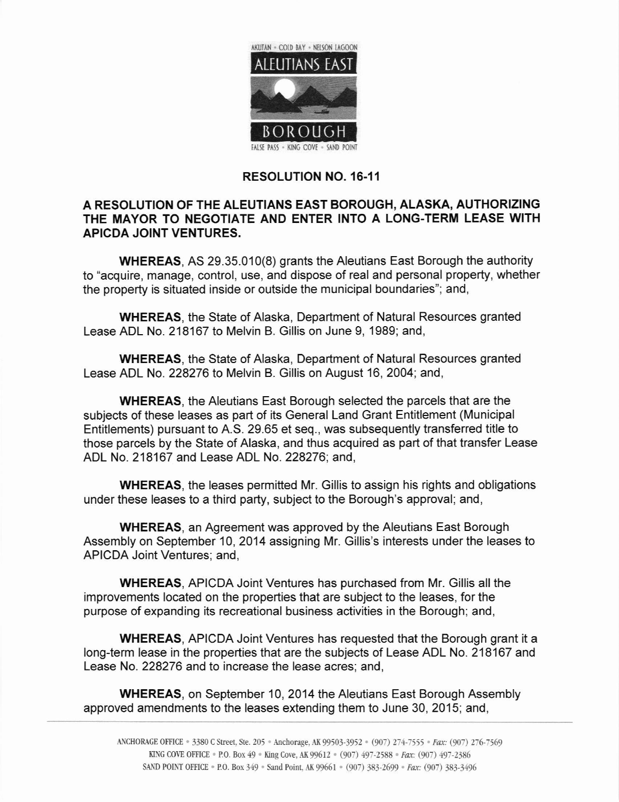

## RESOLUTION NO. 16-11

## A RESOLUTION OF THE ALEUTIANS EAST BOROUGH, ALASKA, AUTHORIZING THE MAYOR TO NEGOTIATE AND ENTER INTO A LONG-TERM LEASE WITH APICDA JOINT VENTURES,

WHEREAS, AS 29.35.010(8) grants the Aleutians East Borough the authority to "acquire, manage, control, use, and dispose of real and personal property, whether the property is situated inside or outside the municipal boundaries"; and,

WHEREAS, the State of Alaska, Department of Natural Resources granted Lease ADL No. 218167 to Melvin B. Gillis on June 9, 1989; and,

WHEREAS, the State of Alaska, Department of Natural Resources granted Lease ADL No.228276 to Melvin B. Gillis on August 16, 2004; and,

WHEREAS, the Aleutians East Borough selected the parcels that are the subjects of these leases as part of its General Land Grant Entitlement (Municipal Entitlements) pursuant to A.S. 29.65 et seq., was subsequently transferred title to those parcels by the State of Alaska, and thus acquired as part of that transfer Lease ADL No. 218167 and Lease ADL No. 228276; and,

WHEREAS, the leases permitted Mr. Gillis to assign his rights and obligations under these leases to a third party, subject to the Borough's approval; and,

WHEREAS, an Agreement was approved by the Aleutians East Borough Assembly on September 10,2014 assigning Mr. Gillis's interests under the leases to APICDA Joint Ventures; and,

WHEREAS, APICDA Joint Ventures has purchased from Mr. Gillis all the improvements located on the properties that are subject to the leases, for the purpose of expanding its recreational business activities in the Borough; and,

WHEREAS, APICDA Joint Ventures has requested that the Borough grant it a long-term lease in the properties that are the subjects of Lease ADL No. 218167 and Lease No. 228276 and to increase the lease acres; and,

WHEREAS, on September 10,2014 the Aleutians East Borough Assembly approved amendments to the leases extending them to June 30, 2015; and,